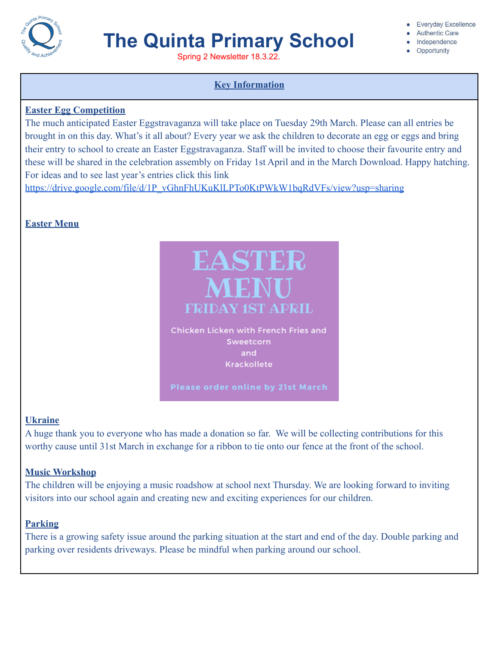

# **The Quinta Primary School**

Spring 2 Newsletter 18.3.22.

# **Key Information**

### **Easter Egg Competition**

The much anticipated Easter Eggstravaganza will take place on Tuesday 29th March. Please can all entries be brought in on this day. What's it all about? Every year we ask the children to decorate an egg or eggs and bring their entry to school to create an Easter Eggstravaganza. Staff will be invited to choose their favourite entry and these will be shared in the celebration assembly on Friday 1st April and in the March Download. Happy hatching. For ideas and to see last year's entries click this link

[https://drive.google.com/file/d/1P\\_vGhnFhUKuKlLPTo0KtPWkW1bqRdVFs/view?usp=sharing](https://drive.google.com/file/d/1P_vGhnFhUKuKlLPTo0KtPWkW1bqRdVFs/view?usp=sharing)

# **Easter Menu**



### **Ukraine**

A huge thank you to everyone who has made a donation so far. We will be collecting contributions for this worthy cause until 31st March in exchange for a ribbon to tie onto our fence at the front of the school.

# **Music Workshop**

The children will be enjoying a music roadshow at school next Thursday. We are looking forward to inviting visitors into our school again and creating new and exciting experiences for our children.

# **Parking**

There is a growing safety issue around the parking situation at the start and end of the day. Double parking and parking over residents driveways. Please be mindful when parking around our school.

Everyday Excellence

- Authentic Care
- · Independence
- Opportunity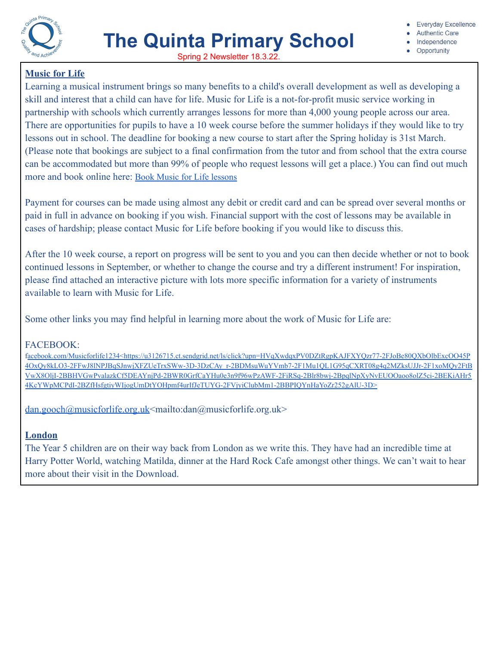

- **Authentic Care**
- Independence
- Opportunity

# **Music for Life**

Learning a musical instrument brings so many benefits to a child's overall development as well as developing a skill and interest that a child can have for life. Music for Life is a not-for-profit music service working in partnership with schools which currently arranges lessons for more than 4,000 young people across our area. There are opportunities for pupils to have a 10 week course before the summer holidays if they would like to try lessons out in school. The deadline for booking a new course to start after the Spring holiday is 31st March. (Please note that bookings are subject to a final confirmation from the tutor and from school that the extra course can be accommodated but more than 99% of people who request lessons will get a place.) You can find out much more and book online here: Book Music for Life [lessons](http://www.musicforlife.org.uk/apply-now)

Payment for courses can be made using almost any debit or credit card and can be spread over several months or paid in full in advance on booking if you wish. Financial support with the cost of lessons may be available in cases of hardship; please contact Music for Life before booking if you would like to discuss this.

After the 10 week course, a report on progress will be sent to you and you can then decide whether or not to book continued lessons in September, or whether to change the course and try a different instrument! For inspiration, please find attached an interactive picture with lots more specific information for a variety of instruments available to learn with Music for Life.

Some other links you may find helpful in learning more about the work of Music for Life are:

# FACEBOOK:

f[acebook.com/Musicforlife1234<https://u3126715.ct.sendgrid.net/ls/click?upn=HVqXwdqxPV0DZtRgpKAJFXYQzr77-2FJoBe80QXbOlbExcOO45P](https://u3126715.ct.sendgrid.net/ls/click?upn=HVqXwdqxPV0DZtRgpKAJFXYQzr77-2FJoBe80QXbOlbExcOO45P4OxQy8kLO3-2FFwJ8lNPJBqSJnwjXFZUeTrxSWw-3D-3DzCAy_r-2BDMsuWuYVmb7-2F1Mu1QL1G95qCXRT08g4q2MZksUJJr-2F1xoMQy2FtBVwX8OljI-2BBHVGwPvalazkCf5DEAYnjPd-2BWR0GrfCaYHu0e3n9f96wPzAWF-2FiRSq-2Blr8bwj-2BpqlNpXyNvEUOOaoo8olZ5ci-2BEKiAHr54KcYWpMCPdI-2BZfHsfgtiyWIjogUmDtYOHpmf4urIfJeTUYG-2FVjyiClubMm1-2BBPIQYnHaYoZr252gAlU-3D) [4OxQy8kLO3-2FFwJ8lNPJBqSJnwjXFZUeTrxSWw-3D-3DzCAy\\_r-2BDMsuWuYVmb7-2F1Mu1QL1G95qCXRT08g4q2MZksUJJr-2F1xoMQy2FtB](https://u3126715.ct.sendgrid.net/ls/click?upn=HVqXwdqxPV0DZtRgpKAJFXYQzr77-2FJoBe80QXbOlbExcOO45P4OxQy8kLO3-2FFwJ8lNPJBqSJnwjXFZUeTrxSWw-3D-3DzCAy_r-2BDMsuWuYVmb7-2F1Mu1QL1G95qCXRT08g4q2MZksUJJr-2F1xoMQy2FtBVwX8OljI-2BBHVGwPvalazkCf5DEAYnjPd-2BWR0GrfCaYHu0e3n9f96wPzAWF-2FiRSq-2Blr8bwj-2BpqlNpXyNvEUOOaoo8olZ5ci-2BEKiAHr54KcYWpMCPdI-2BZfHsfgtiyWIjogUmDtYOHpmf4urIfJeTUYG-2FVjyiClubMm1-2BBPIQYnHaYoZr252gAlU-3D) [VwX8OljI-2BBHVGwPvalazkCf5DEAYnjPd-2BWR0GrfCaYHu0e3n9f96wPzAWF-2FiRSq-2Blr8bwj-2BpqlNpXyNvEUOOaoo8olZ5ci-2BEKiAHr5](https://u3126715.ct.sendgrid.net/ls/click?upn=HVqXwdqxPV0DZtRgpKAJFXYQzr77-2FJoBe80QXbOlbExcOO45P4OxQy8kLO3-2FFwJ8lNPJBqSJnwjXFZUeTrxSWw-3D-3DzCAy_r-2BDMsuWuYVmb7-2F1Mu1QL1G95qCXRT08g4q2MZksUJJr-2F1xoMQy2FtBVwX8OljI-2BBHVGwPvalazkCf5DEAYnjPd-2BWR0GrfCaYHu0e3n9f96wPzAWF-2FiRSq-2Blr8bwj-2BpqlNpXyNvEUOOaoo8olZ5ci-2BEKiAHr54KcYWpMCPdI-2BZfHsfgtiyWIjogUmDtYOHpmf4urIfJeTUYG-2FVjyiClubMm1-2BBPIQYnHaYoZr252gAlU-3D) [4KcYWpMCPdI-2BZfHsfgtiyWIjogUmDtYOHpmf4urIfJeTUYG-2FVjyiClubMm1-2BBPIQYnHaYoZr252gAlU-3D>](https://u3126715.ct.sendgrid.net/ls/click?upn=HVqXwdqxPV0DZtRgpKAJFXYQzr77-2FJoBe80QXbOlbExcOO45P4OxQy8kLO3-2FFwJ8lNPJBqSJnwjXFZUeTrxSWw-3D-3DzCAy_r-2BDMsuWuYVmb7-2F1Mu1QL1G95qCXRT08g4q2MZksUJJr-2F1xoMQy2FtBVwX8OljI-2BBHVGwPvalazkCf5DEAYnjPd-2BWR0GrfCaYHu0e3n9f96wPzAWF-2FiRSq-2Blr8bwj-2BpqlNpXyNvEUOOaoo8olZ5ci-2BEKiAHr54KcYWpMCPdI-2BZfHsfgtiyWIjogUmDtYOHpmf4urIfJeTUYG-2FVjyiClubMm1-2BBPIQYnHaYoZr252gAlU-3D)

 $dan.gooch@musicforlife.org.uk$  mailto:dan@musicforlife.org.uk>

# **London**

The Year 5 children are on their way back from London as we write this. They have had an incredible time at Harry Potter World, watching Matilda, dinner at the Hard Rock Cafe amongst other things. We can't wait to hear more about their visit in the Download.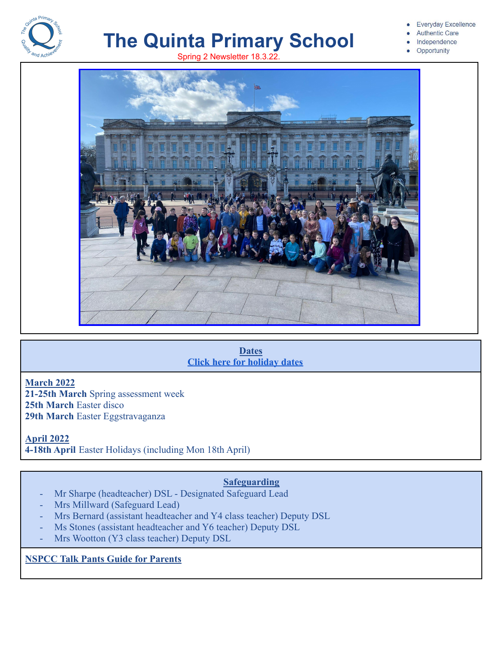

# **The Quinta Primary School** Spring 2 Newsletter 18.3.22.

#### **Everyday Excellence**

- **Authentic Care**
- Independence
- Opportunity



#### **Dates [Click here for holiday dates](http://www.thequinta.cheshire.sch.uk/serve_file/2308637)**

### **March 2022**

**21-25th March** Spring assessment week **25th March** Easter disco **29th March** Easter Eggstravaganza

**April 2022 4-18th April** Easter Holidays (including Mon 18th April)

# **Safeguarding**

- Mr Sharpe (headteacher) DSL Designated Safeguard Lead
- Mrs Millward (Safeguard Lead)
- Mrs Bernard (assistant headteacher and Y4 class teacher) Deputy DSL
- Ms Stones (assistant headteacher and Y6 teacher) Deputy DSL
- Mrs Wootton (Y3 class teacher) Deputy DSL

**NSPCC Talk Pants Guide for Parents**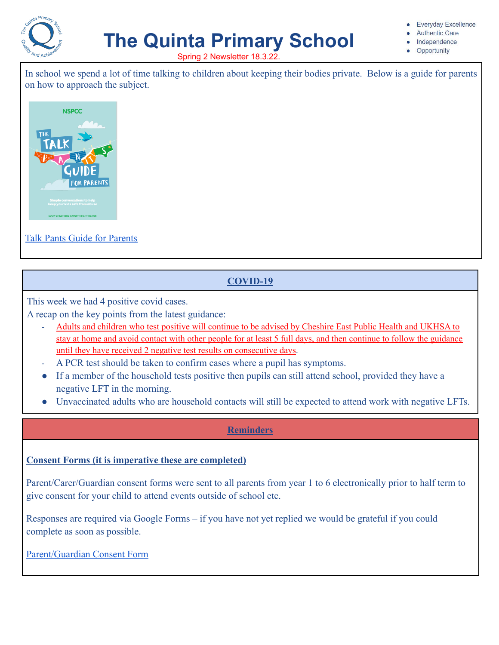

# **The Quinta Primary School**

**Everyday Excellence** 

- **Authentic Care**
- Independence
- Opportunity

Spring 2 Newsletter 18.3.22.

In school we spend a lot of time talking to children about keeping their bodies private. Below is a guide for parents on how to approach the subject.



# [Talk Pants Guide for Parents](https://www.nspcc.org.uk/globalassets/documents/advice-and-info/pants/pants-2018/pants-parents-guide-online.pdf)

# **COVID-19**

This week we had 4 positive covid cases.

A recap on the key points from the latest guidance:

- Adults and children who test positive will continue to be advised by Cheshire East Public Health and UKHSA to stay at home and avoid contact with other people for at least 5 full days, and then continue to follow the guidance until they have received 2 negative test results on consecutive days.
- A PCR test should be taken to confirm cases where a pupil has symptoms.
- If a member of the household tests positive then pupils can still attend school, provided they have a negative LFT in the morning.
- Unvaccinated adults who are household contacts will still be expected to attend work with negative LFTs.

# **Reminders**

# **Consent Forms (it is imperative these are completed)**

Parent/Carer/Guardian consent forms were sent to all parents from year 1 to 6 electronically prior to half term to give consent for your child to attend events outside of school etc.

Responses are required via Google Forms – if you have not yet replied we would be grateful if you could complete as soon as possible.

[Parent/Guardian Consent Form](https://docs.google.com/forms/d/1-Am2VzkE0FldZsU46uBlVMrWzJJpG-rhXdSjaVe9Eko/edit?usp=sharing_eip_m&ts=6220ffd9)